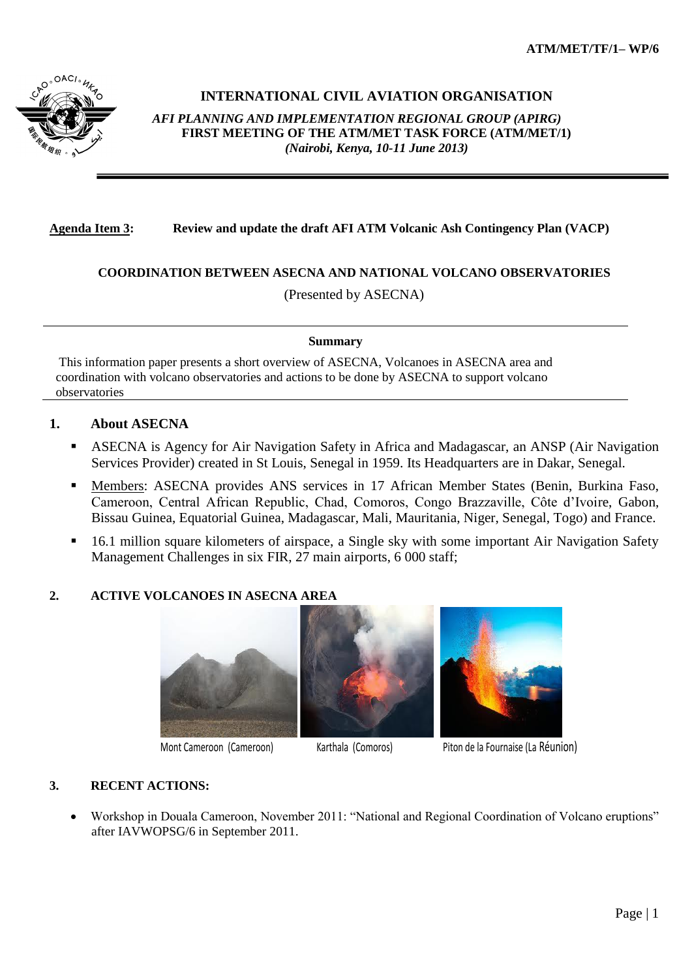

# **INTERNATIONAL CIVIL AVIATION ORGANISATION**

*AFI PLANNING AND IMPLEMENTATION REGIONAL GROUP (APIRG)* **FIRST MEETING OF THE ATM/MET TASK FORCE (ATM/MET/1)**  *(Nairobi, Kenya, 10-11 June 2013)*

## **Agenda Item 3: Review and update the draft AFI ATM Volcanic Ash Contingency Plan (VACP)**

# **COORDINATION BETWEEN ASECNA AND NATIONAL VOLCANO OBSERVATORIES**

(Presented by ASECNA)

#### **Summary**

This information paper presents a short overview of ASECNA, Volcanoes in ASECNA area and coordination with volcano observatories and actions to be done by ASECNA to support volcano observatories

## **1. About ASECNA**

- ASECNA is Agency for Air Navigation Safety in Africa and Madagascar, an ANSP (Air Navigation Services Provider) created in St Louis, Senegal in 1959. Its Headquarters are in Dakar, Senegal.
- Members: ASECNA provides ANS services in 17 African Member States (Benin, Burkina Faso, Cameroon, Central African Republic, Chad, Comoros, Congo Brazzaville, Côte d'Ivoire, Gabon, Bissau Guinea, Equatorial Guinea, Madagascar, Mali, Mauritania, Niger, Senegal, Togo) and France.
- <sup>16.1</sup> million square kilometers of airspace, a Single sky with some important Air Navigation Safety Management Challenges in six FIR, 27 main airports, 6 000 staff;

# **2. ACTIVE VOLCANOES IN ASECNA AREA**







Mont Cameroon (Cameroon) Karthala (Comoros) Piton de la Fournaise (La Réunion)

# **3. RECENT ACTIONS:**

 Workshop in Douala Cameroon, November 2011: "National and Regional Coordination of Volcano eruptions" after IAVWOPSG/6 in September 2011.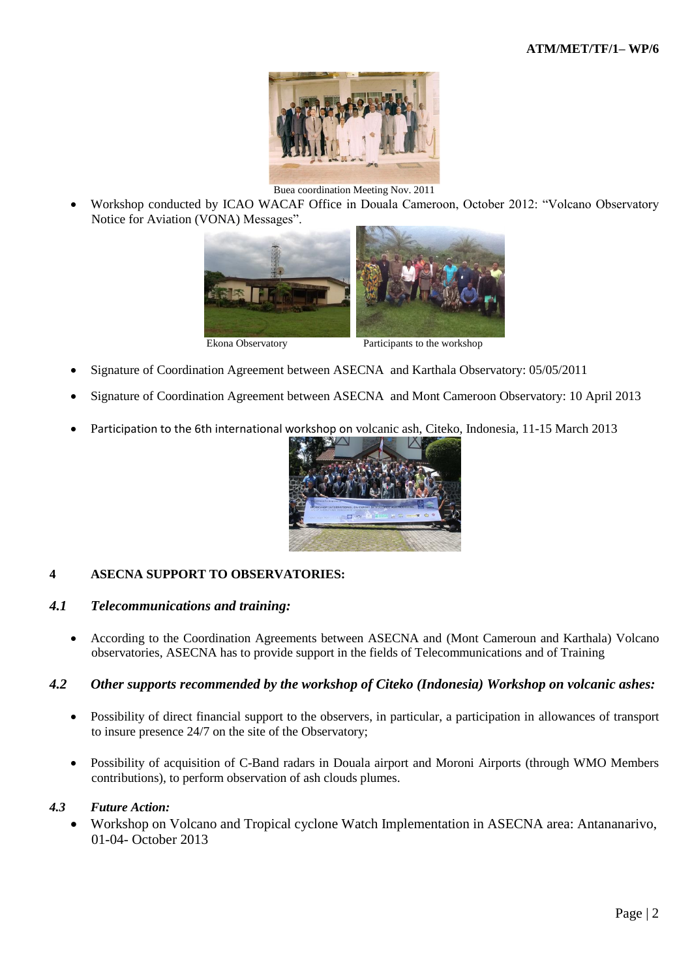

Buea coordination Meeting Nov. 2011

 Workshop conducted by ICAO WACAF Office in Douala Cameroon, October 2012: "Volcano Observatory Notice for Aviation (VONA) Messages".



- Signature of Coordination Agreement between ASECNA and Karthala Observatory: 05/05/2011
- Signature of Coordination Agreement between ASECNA and Mont Cameroon Observatory: 10 April 2013
- Participation to the 6th international workshop on volcanic ash, Citeko, Indonesia, 11-15 March 2013



### **4 ASECNA SUPPORT TO OBSERVATORIES:**

### *4.1 Telecommunications and training:*

 According to the Coordination Agreements between ASECNA and (Mont Cameroun and Karthala) Volcano observatories, ASECNA has to provide support in the fields of Telecommunications and of Training

### *4.2 Other supports recommended by the workshop of Citeko (Indonesia) Workshop on volcanic ashes:*

- Possibility of direct financial support to the observers, in particular, a participation in allowances of transport to insure presence 24/7 on the site of the Observatory;
- Possibility of acquisition of C-Band radars in Douala airport and Moroni Airports (through WMO Members contributions), to perform observation of ash clouds plumes.

#### *4.3 Future Action:*

 Workshop on Volcano and Tropical cyclone Watch Implementation in ASECNA area: Antananarivo, 01-04- October 2013